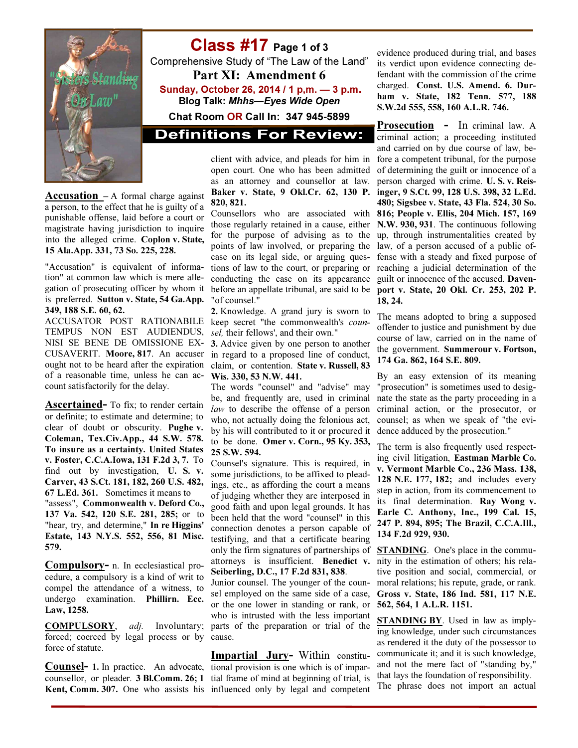

# Class #17 Page 1 of 3

Comprehensive Study of "The Law of the Land" Part XI: Amendment 6 Sunday, October 26, 2014 / 1 p,m. — 3 p.m. Blog Talk: Mhhs—Eyes Wide Open

Chat Room OR Call In: 347 945-5899

**Definitions For Review:** 

Accusation - A formal charge against a person, to the effect that he is guilty of a punishable offense, laid before a court or magistrate having jurisdiction to inquire into the alleged crime. Coplon v. State, 15 Ala.App. 331, 73 So. 225, 228.

"Accusation" is equivalent of information" at common law which is mere allegation of prosecuting officer by whom it is preferred. Sutton v. State, 54 Ga.App. 349, 188 S.E. 60, 62.

ACCUSATOR POST RATIONABILE TEMPUS NON EST AUDIENDUS, NISI SE BENE DE OMISSIONE EX-CUSAVERIT. Moore, 817. An accuser ought not to be heard after the expiration of a reasonable time, unless he can account satisfactorily for the delay.

Ascertained- To fix; to render certain or definite; to estimate and determine; to clear of doubt or obscurity. Pughe v. Coleman, Tex.Civ.App., 44 S.W. 578. To insure as a certainty. United States v. Foster, C.C.A.Iowa, 131 F.2d 3, 7. To find out by investigation, U. S. v. Carver, 43 S.Ct. 181, 182, 260 U.S. 482, 67 L.Ed. 361. Sometimes it means to "assess", Commonwealth v. Deford Co., 137 Va. 542, 120 S.E. 281, 285; or to "hear, try, and determine," In re Higgins' Estate, 143 N.Y.S. 552, 556, 81 Misc. 579.

Compulsory- n. In ecclesiastical procedure, a compulsory is a kind of writ to compel the attendance of a witness, to undergo examination. Phillirn. Ecc. Law, 1258.

COMPULSORY, adj. Involuntary; forced; coerced by legal process or by cause. force of statute.

Kent, Comm. 307. One who assists his influenced only by legal and competent

client with advice, and pleads for him in open court. One who has been admitted as an attorney and counsellor at law. Baker v. State, 9 Okl.Cr. 62, 130 P. 820, 821.

Counsellors who are associated with those regularly retained in a cause, either for the purpose of advising as to the points of law involved, or preparing the case on its legal side, or arguing questions of law to the court, or preparing or conducting the case on its appearance before an appellate tribunal, are said to be "of counsel."

2. Knowledge. A grand jury is sworn to keep secret "the commonwealth's counsel, their fellows', and their own."

3. Advice given by one person to another in regard to a proposed line of conduct, claim, or contention. State v. Russell, 83 Wis. 330, 53 N.W. 441.

The words "counsel" and "advise" may be, and frequently are, used in criminal law to describe the offense of a person who, not actually doing the felonious act, by his will contributed to it or procured it to be done. Omer v. Corn., 95 Ky. 353, 25 S.W. 594.

Counsel's signature. This is required, in some jurisdictions, to be affixed to pleadings, etc., as affording the court a means of judging whether they are interposed in good faith and upon legal grounds. It has been held that the word "counsel" in this connection denotes a person capable of testifying, and that a certificate bearing only the firm signatures of partnerships of attorneys is insufficient. Benedict v. Seiberling, D.C., 17 F.2d 831, 838.

Junior counsel. The younger of the counsel employed on the same side of a case, or the one lower in standing or rank, or who is intrusted with the less important parts of the preparation or trial of the

**Counsel-** 1. In practice. An advocate, tional provision is one which is of imparcounsellor, or pleader. **3 Bl.Comm. 26; 1** tial frame of mind at beginning of trial, is Impartial Jury- Within constitu-

evidence produced during trial, and bases its verdict upon evidence connecting defendant with the commission of the crime charged. Const. U.S. Amend. 6. Durham v. State, 182 Tenn. 577, 188 S.W.2d 555, 558, 160 A.L.R. 746.

Prosecution - In criminal law. A criminal action; a proceeding instituted and carried on by due course of law, before a competent tribunal, for the purpose of determining the guilt or innocence of a person charged with crime. U. S. v. Reisinger, 9 S.Ct. 99, 128 U.S. 398, 32 L.Ed. 480; Sigsbee v. State, 43 Fla. 524, 30 So. 816; People v. Ellis, 204 Mich. 157, 169 N.W. 930, 931. The continuous following up, through instrumentalities created by law, of a person accused of a public offense with a steady and fixed purpose of reaching a judicial determination of the guilt or innocence of the accused. Davenport v. State, 20 Okl. Cr. 253, 202 P. 18, 24.

The means adopted to bring a supposed offender to justice and punishment by due course of law, carried on in the name of the government. Summerour v. Fortson, 174 Ga. 862, 164 S.E. 809.

By an easy extension of its meaning "prosecution" is sometimes used to designate the state as the party proceeding in a criminal action, or the prosecutor, or counsel; as when we speak of "the evidence adduced by the prosecution."

The term is also frequently used respecting civil litigation, Eastman Marble Co. v. Vermont Marble Co., 236 Mass. 138, 128 N.E. 177, 182; and includes every step in action, from its commencement to its final determination. Ray Wong v. Earle C. Anthony, Inc., 199 Cal. 15, 247 P. 894, 895; The Brazil, C.C.A.Ill., 134 F.2d 929, 930.

**STANDING**. One's place in the community in the estimation of others; his relative position and social, commercial, or moral relations; his repute, grade, or rank. Gross v. State, 186 Ind. 581, 117 N.E. 562, 564, 1 A.L.R. 1151.

STANDING BY. Used in law as implying knowledge, under such circumstances as rendered it the duty of the possessor to communicate it; and it is such knowledge, and not the mere fact of "standing by," that lays the foundation of responsibility. The phrase does not import an actual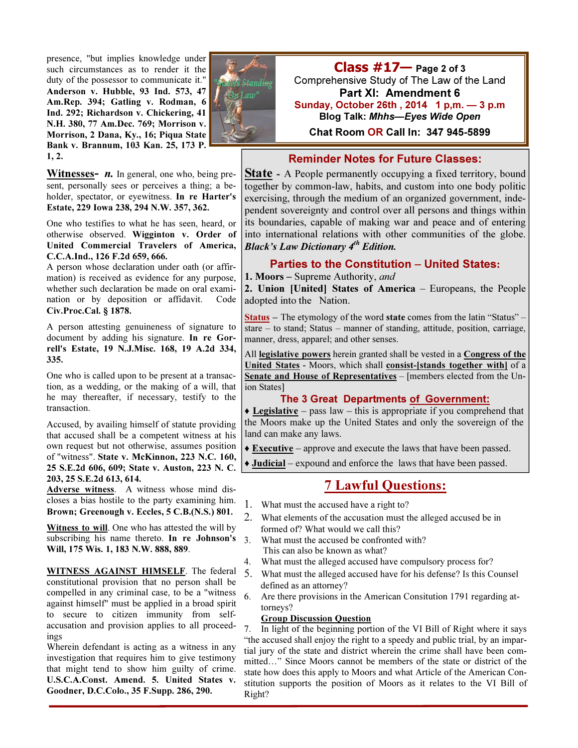presence, "but implies knowledge under such circumstances as to render it the duty of the possessor to communicate it." Anderson v. Hubble, 93 Ind. 573, 47 Am.Rep. 394; Gatling v. Rodman, 6 Ind. 292; Richardson v. Chickering, 41 N.H. 380, 77 Am.Dec. 769; Morrison v. Morrison, 2 Dana, Ky., 16; Piqua State Bank v. Brannum, 103 Kan. 25, 173 P. 1, 2.

**Witnesses-**  $n$ **.** In general, one who, being present, personally sees or perceives a thing; a beholder, spectator, or eyewitness. In re Harter's Estate, 229 Iowa 238, 294 N.W. 357, 362.

One who testifies to what he has seen, heard, or otherwise observed. Wigginton v. Order of United Commercial Travelers of America, C.C.A.Ind., 126 F.2d 659, 666.

A person whose declaration under oath (or affirmation) is received as evidence for any purpose, whether such declaration be made on oral examination or by deposition or affidavit. Code Civ.Proc.Cal. § 1878.

A person attesting genuineness of signature to document by adding his signature. In re Gorrell's Estate, 19 N.J.Misc. 168, 19 A.2d 334, 335.

One who is called upon to be present at a transaction, as a wedding, or the making of a will, that he may thereafter, if necessary, testify to the transaction.

Accused, by availing himself of statute providing that accused shall be a competent witness at his own request but not otherwise, assumes position of "witness". State v. McKinnon, 223 N.C. 160, 25 S.E.2d 606, 609; State v. Auston, 223 N. C. 203, 25 S.E.2d 613, 614.

Adverse witness. A witness whose mind discloses a bias hostile to the party examining him. Brown; Greenough v. Eccles, 5 C.B.(N.S.) 801.

Witness to will. One who has attested the will by subscribing his name thereto. In re Johnson's Will, 175 Wis. 1, 183 N.W. 888, 889.

WITNESS AGAINST HIMSELF. The federal 5 constitutional provision that no person shall be compelled in any criminal case, to be a "witness against himself" must be applied in a broad spirit to secure to citizen immunity from selfaccusation and provision applies to all proceedings

Wherein defendant is acting as a witness in any investigation that requires him to give testimony that might tend to show him guilty of crime. U.S.C.A.Const. Amend. 5. United States v. Goodner, D.C.Colo., 35 F.Supp. 286, 290.



 $Class #17$  Page 2 of 3 Comprehensive Study of The Law of the Land Part XI: Amendment 6 Sunday, October 26th , 2014 1 p,m. — 3 p.m Blog Talk: Mhhs—Eyes Wide Open

Chat Room OR Call In: 347 945-5899

## Reminder Notes for Future Classes:

**State** - A People permanently occupying a fixed territory, bound together by common-law, habits, and custom into one body politic exercising, through the medium of an organized government, independent sovereignty and control over all persons and things within its boundaries, capable of making war and peace and of entering into international relations with other communities of the globe. Black's Law Dictionary  $4^{th}$  Edition.

## Parties to the Constitution – United States:

## 1. Moors – Supreme Authority, and

2. Union [United] States of America – Europeans, the People adopted into the Nation.

Status – The etymology of the word state comes from the latin "Status" stare – to stand; Status – manner of standing, attitude, position, carriage, manner, dress, apparel; and other senses.

All legislative powers herein granted shall be vested in a Congress of the United States - Moors, which shall consist-[stands together with] of a Senate and House of Representatives – [members elected from the Union States]

#### The 3 Great Departments of Government:

 $\triangle$  Legislative – pass law – this is appropriate if you comprehend that the Moors make up the United States and only the sovereign of the land can make any laws.

♦ Executive – approve and execute the laws that have been passed.

♦ Judicial – expound and enforce the laws that have been passed.

# 7 Lawful Questions:

- 1. What must the accused have a right to?
- 2. What elements of the accusation must the alleged accused be in formed of? What would we call this?
- 3. What must the accused be confronted with? This can also be known as what?
- 4. What must the alleged accused have compulsory process for?
- 5. What must the alleged accused have for his defense? Is this Counsel defined as an attorney?<br>6. Are there provisions in
- Are there provisions in the American Consitution 1791 regarding attorneys?

#### Group Discussion Question

7. In light of the beginning portion of the VI Bill of Right where it says "the accused shall enjoy the right to a speedy and public trial, by an impartial jury of the state and district wherein the crime shall have been committed…" Since Moors cannot be members of the state or district of the state how does this apply to Moors and what Article of the American Constitution supports the position of Moors as it relates to the VI Bill of Right?